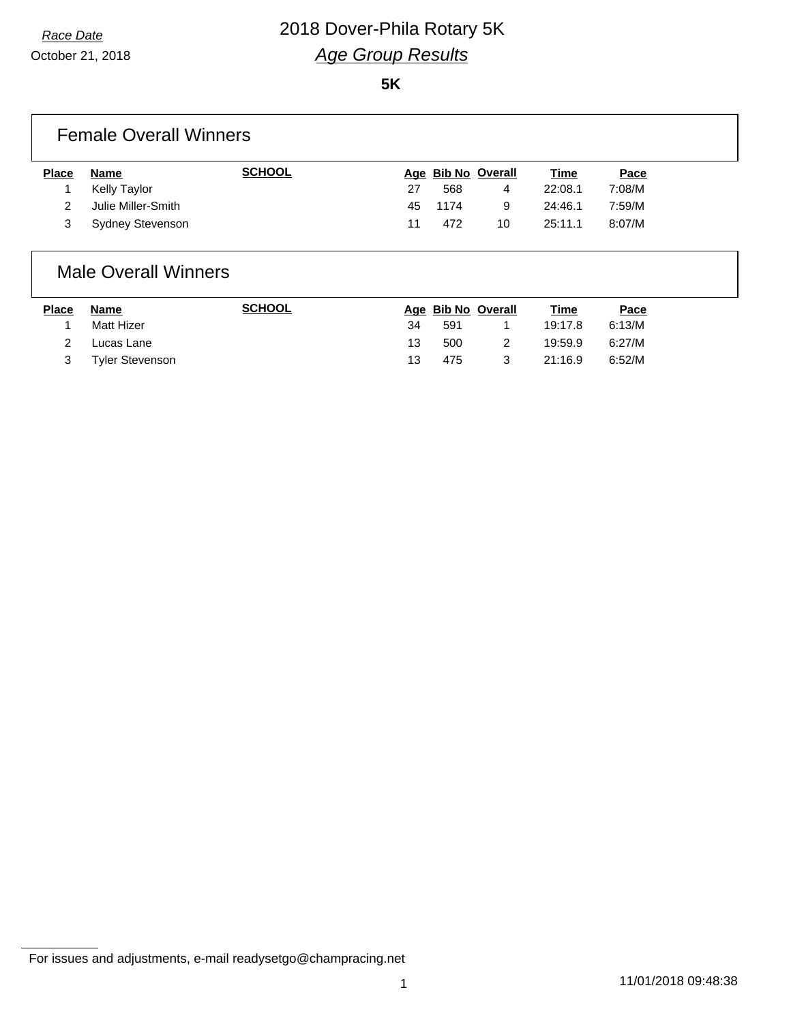October 21, 2018

#### **5K**

### Female Overall Winners

| <b>Place</b> | Name               | <b>SCHOOL</b> |    | Age Bib No Overall |    | <u>Time</u> | <u>Pace</u> |
|--------------|--------------------|---------------|----|--------------------|----|-------------|-------------|
|              | Kelly Taylor       |               | 27 | 568                | 4  | 22:08.1     | 7:08/M      |
|              | Julie Miller-Smith |               |    | 45 1174            | g  | 24:46.1     | 7:59/M      |
|              | Sydney Stevenson   |               | 11 | 472                | 10 | 25:11.1     | 8:07/M      |

## Male Overall Winners

| <b>Place</b> | Name            | <b>SCHOOL</b> |    | Age Bib No Overall | Time    | Pace   |
|--------------|-----------------|---------------|----|--------------------|---------|--------|
|              | Matt Hizer      |               | 34 | 591                | 19:17.8 | 6:13/M |
|              | Lucas Lane      |               | 13 | 500                | 19:59.9 | 6:27/M |
|              | Tyler Stevenson |               | 13 | 475                | 21:16.9 | 6:52/M |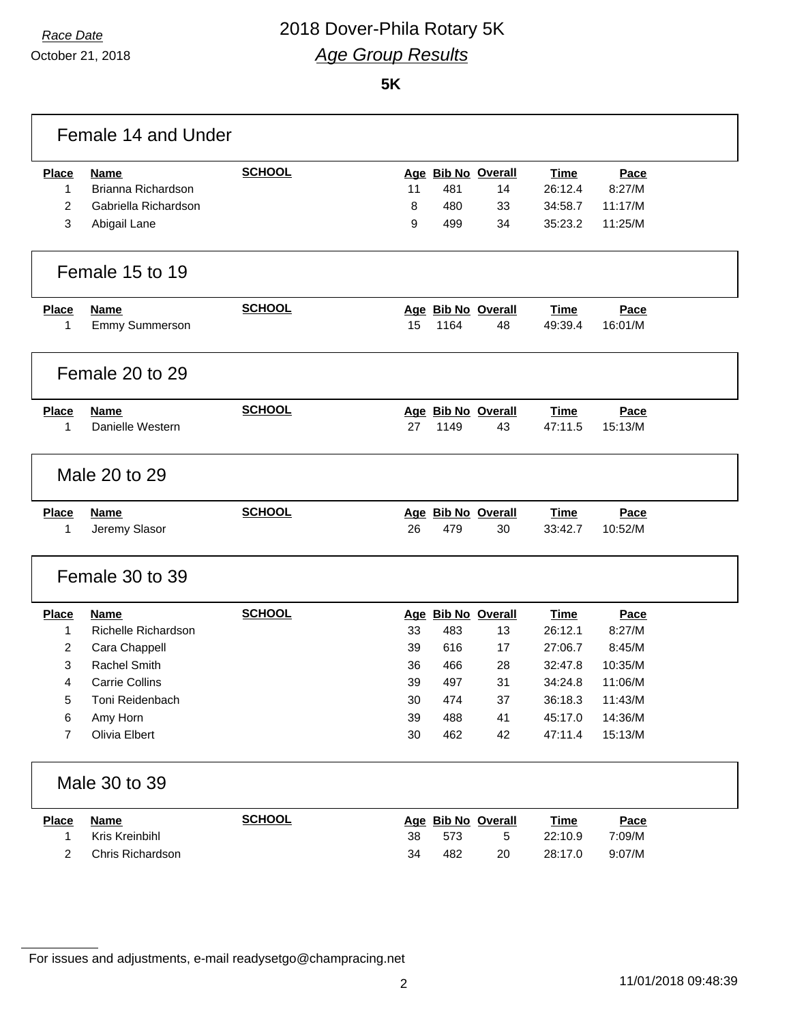October 21, 2018

#### **5K**

|                | Female 14 and Under   |               |        |      |                    |             |         |  |
|----------------|-----------------------|---------------|--------|------|--------------------|-------------|---------|--|
| <b>Place</b>   | <b>Name</b>           | <b>SCHOOL</b> |        |      | Age Bib No Overall | <b>Time</b> | Pace    |  |
| 1              | Brianna Richardson    |               | 11     | 481  | 14                 | 26:12.4     | 8:27/M  |  |
| $\overline{2}$ | Gabriella Richardson  |               | 8      | 480  | 33                 | 34:58.7     | 11:17/M |  |
| 3              | Abigail Lane          |               | 9      | 499  | 34                 | 35:23.2     | 11:25/M |  |
|                |                       |               |        |      |                    |             |         |  |
|                | Female 15 to 19       |               |        |      |                    |             |         |  |
| <b>Place</b>   | <b>Name</b>           | <b>SCHOOL</b> |        |      | Age Bib No Overall | Time        | Pace    |  |
| 1              | Emmy Summerson        |               | 15     | 1164 | 48                 | 49:39.4     | 16:01/M |  |
|                |                       |               |        |      |                    |             |         |  |
|                | Female 20 to 29       |               |        |      |                    |             |         |  |
| <b>Place</b>   | <b>Name</b>           | <b>SCHOOL</b> |        |      | Age Bib No Overall | <b>Time</b> | Pace    |  |
| 1              | Danielle Western      |               | 27     | 1149 | 43                 | 47:11.5     | 15:13/M |  |
|                |                       |               |        |      |                    |             |         |  |
|                | Male 20 to 29         |               |        |      |                    |             |         |  |
| <b>Place</b>   | <b>Name</b>           | <b>SCHOOL</b> |        |      | Age Bib No Overall | <b>Time</b> | Pace    |  |
| 1              | Jeremy Slasor         |               | 26     | 479  | 30                 | 33:42.7     | 10:52/M |  |
|                |                       |               |        |      |                    |             |         |  |
|                | Female 30 to 39       |               |        |      |                    |             |         |  |
| <b>Place</b>   | <b>Name</b>           | <b>SCHOOL</b> |        |      | Age Bib No Overall | <b>Time</b> | Pace    |  |
| 1              | Richelle Richardson   |               | 33     | 483  | 13                 | 26:12.1     | 8:27/M  |  |
| $\overline{2}$ | Cara Chappell         |               | 39     | 616  | 17                 | 27:06.7     | 8:45/M  |  |
| 3              | <b>Rachel Smith</b>   |               | 36     | 466  | 28                 | 32:47.8     | 10:35/M |  |
| 4              | <b>Carrie Collins</b> |               | 39     | 497  | 31                 | 34:24.8     | 11:06/M |  |
| 5              | Toni Reidenbach       |               | $30\,$ | 474  | 37                 | 36:18.3     | 11:43/M |  |
| 6              | Amy Horn              |               | 39     | 488  | 41                 | 45:17.0     | 14:36/M |  |
| $\overline{7}$ | Olivia Elbert         |               | 30     | 462  | 42                 | 47:11.4     | 15:13/M |  |
|                | Male 30 to 39         |               |        |      |                    |             |         |  |
| <b>Place</b>   | <b>Name</b>           | <b>SCHOOL</b> |        |      | Age Bib No Overall | <b>Time</b> | Pace    |  |
| $\mathbf{1}$   | Kris Kreinbihl        |               | 38     | 573  | 5                  | 22:10.9     | 7:09/M  |  |
| $\overline{2}$ | Chris Richardson      |               | 34     | 482  | 20                 | 28:17.0     | 9:07/M  |  |
|                |                       |               |        |      |                    |             |         |  |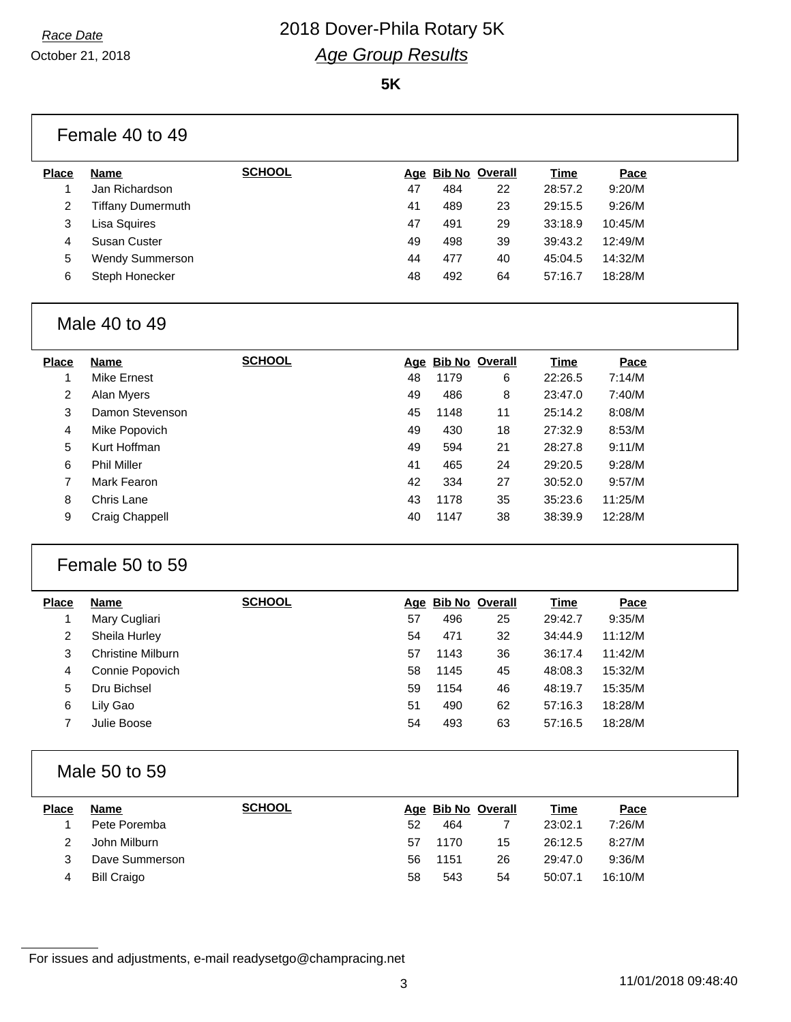October 21, 2018

#### **5K**

|                | Female 40 to 49          |               |            |      |                       |             |         |  |
|----------------|--------------------------|---------------|------------|------|-----------------------|-------------|---------|--|
| <b>Place</b>   | <b>Name</b>              | <b>SCHOOL</b> | Age        |      | <b>Bib No Overall</b> | <b>Time</b> | Pace    |  |
|                | Jan Richardson           |               | 47         | 484  | 22                    | 28:57.2     | 9:20/M  |  |
| $\overline{2}$ | <b>Tiffany Dumermuth</b> |               | 41         | 489  | 23                    | 29:15.5     | 9:26/M  |  |
| 3              | Lisa Squires             |               | 47         | 491  | 29                    | 33:18.9     | 10:45/M |  |
| 4              | Susan Custer             |               | 49         | 498  | 39                    | 39:43.2     | 12:49/M |  |
| 5              | Wendy Summerson          |               | 44         | 477  | 40                    | 45:04.5     | 14:32/M |  |
| 6              | Steph Honecker           |               | 48         | 492  | 64                    | 57:16.7     | 18:28/M |  |
|                | Male 40 to 49            |               |            |      |                       |             |         |  |
| <b>Place</b>   | <b>Name</b>              | <b>SCHOOL</b> | <u>Age</u> |      | <b>Bib No Overall</b> | Time        | Pace    |  |
|                | Mike Ernest              |               | 48         | 1179 | 6                     | 22:26.5     | 7:14/M  |  |
| $\overline{2}$ | Alan Myers               |               | 49         | 486  | 8                     | 23:47.0     | 7:40/M  |  |
| 3              | Damon Stevenson          |               | 45         | 1148 | 11                    | 25:14.2     | 8:08/M  |  |
| 4              | Mike Popovich            |               | 49         | 430  | 18                    | 27:32.9     | 8:53/M  |  |

| Place | Name                     | <b>SCHOOL</b> |    | Age Bib No Overall |    | Time    | Pace    |
|-------|--------------------------|---------------|----|--------------------|----|---------|---------|
|       | Mary Cugliari            |               | 57 | 496                | 25 | 29:42.7 | 9:35/M  |
| 2     | Sheila Hurley            |               | 54 | 471                | 32 | 34:44.9 | 11:12/M |
| 3     | <b>Christine Milburn</b> |               | 57 | 1143               | 36 | 36:17.4 | 11:42/M |
| 4     | Connie Popovich          |               | 58 | 1145               | 45 | 48:08.3 | 15:32/M |
| 5     | Dru Bichsel              |               | 59 | 1154               | 46 | 48:19.7 | 15:35/M |
| 6     | Lily Gao                 |               | 51 | 490                | 62 | 57:16.3 | 18:28/M |
|       | Julie Boose              |               | 54 | 493                | 63 | 57:16.5 | 18:28/M |
|       |                          |               |    |                    |    |         |         |

 Kurt Hoffman 49 594 21 28:27.8 9:11/M Phil Miller 41 465 24 29:20.5 9:28/M Mark Fearon 42 334 27 30:52.0 9:57/M Chris Lane 43 1178 35 35:23.6 11:25/M Craig Chappell 40 1147 38 38:39.9 12:28/M

## Male 50 to 59

Female 50 to 59

| <b>Place</b> | <b>Name</b>        | <b>SCHOOL</b> |    | Age Bib No Overall |    | <u>Time</u> | Pace    |
|--------------|--------------------|---------------|----|--------------------|----|-------------|---------|
|              | Pete Poremba       |               | 52 | 464                |    | 23:02.1     | 7:26/M  |
|              | John Milburn       |               | 57 | 1170               | 15 | 26:12.5     | 8:27/M  |
| 3            | Dave Summerson     |               | 56 | 1151               | 26 | 29:47.0     | 9:36/M  |
|              | <b>Bill Craigo</b> |               | 58 | 543                | 54 | 50:07.1     | 16:10/M |